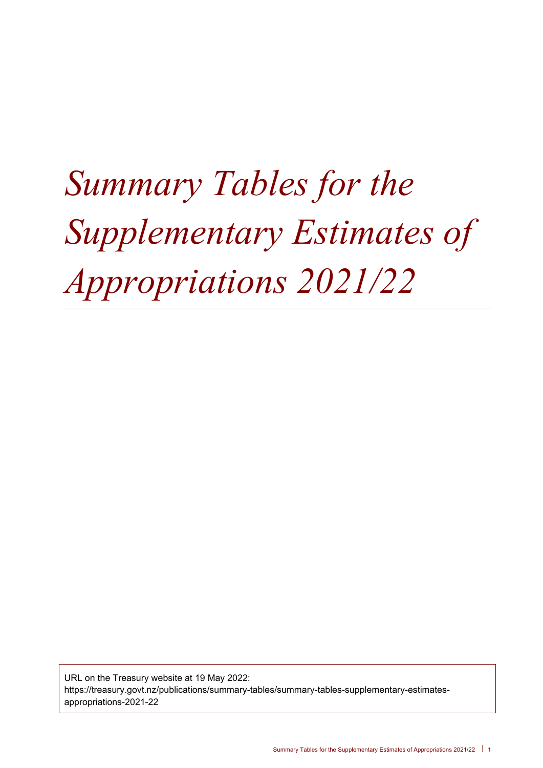# *Summary Tables for the Supplementary Estimates of Appropriations 2021/22*

URL on the Treasury website at 19 May 2022: https://treasury.govt.nz/publications/summary-tables/summary-tables-supplementary-estimatesappropriations-2021-22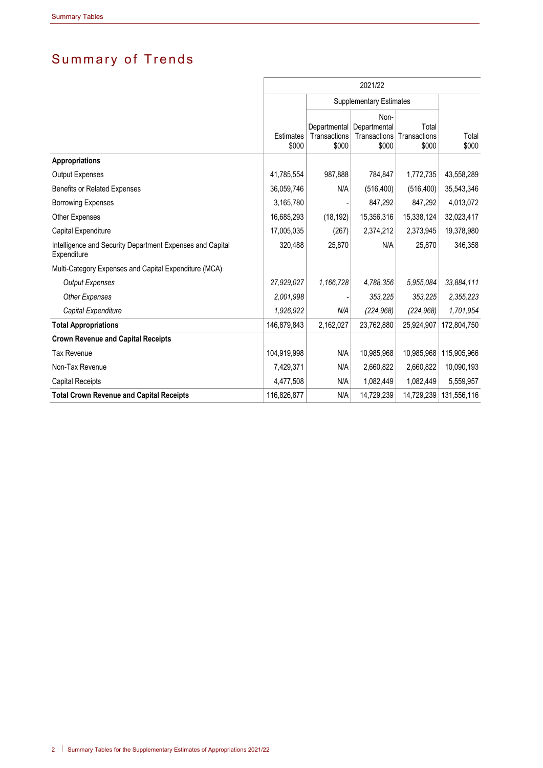# Summary of Trends

|                                                                          | 2021/22            |                                       |                                               |                                |                |  |  |
|--------------------------------------------------------------------------|--------------------|---------------------------------------|-----------------------------------------------|--------------------------------|----------------|--|--|
|                                                                          |                    | <b>Supplementary Estimates</b>        |                                               |                                |                |  |  |
|                                                                          | Estimates<br>\$000 | Departmental<br>Transactions<br>\$000 | Non-<br>Departmental<br>Transactions<br>\$000 | Total<br>Transactions<br>\$000 | Total<br>\$000 |  |  |
| <b>Appropriations</b>                                                    |                    |                                       |                                               |                                |                |  |  |
| <b>Output Expenses</b>                                                   | 41,785,554         | 987,888                               | 784,847                                       | 1,772,735                      | 43,558,289     |  |  |
| <b>Benefits or Related Expenses</b>                                      | 36,059,746         | N/A                                   | (516, 400)                                    | (516, 400)                     | 35,543,346     |  |  |
| <b>Borrowing Expenses</b>                                                | 3,165,780          |                                       | 847,292                                       | 847,292                        | 4,013,072      |  |  |
| Other Expenses                                                           | 16,685,293         | (18, 192)                             | 15,356,316                                    | 15,338,124                     | 32,023,417     |  |  |
| Capital Expenditure                                                      | 17,005,035         | (267)                                 | 2,374,212                                     | 2,373,945                      | 19,378,980     |  |  |
| Intelligence and Security Department Expenses and Capital<br>Expenditure | 320,488            | 25,870                                | N/A                                           | 25,870                         | 346,358        |  |  |
| Multi-Category Expenses and Capital Expenditure (MCA)                    |                    |                                       |                                               |                                |                |  |  |
| <b>Output Expenses</b>                                                   | 27,929,027         | 1,166,728                             | 4,788,356                                     | 5,955,084                      | 33,884,111     |  |  |
| <b>Other Expenses</b>                                                    | 2,001,998          |                                       | 353,225                                       | 353,225                        | 2,355,223      |  |  |
| Capital Expenditure                                                      | 1,926,922          | N/A                                   | (224, 968)                                    | (224, 968)                     | 1,701,954      |  |  |
| <b>Total Appropriations</b>                                              | 146,879,843        | 2,162,027                             | 23,762,880                                    | 25,924,907                     | 172,804,750    |  |  |
| <b>Crown Revenue and Capital Receipts</b>                                |                    |                                       |                                               |                                |                |  |  |
| <b>Tax Revenue</b>                                                       | 104,919,998        | N/A                                   | 10,985,968                                    | 10,985,968                     | 115,905,966    |  |  |
| Non-Tax Revenue                                                          | 7,429,371          | N/A                                   | 2,660,822                                     | 2,660,822                      | 10,090,193     |  |  |
| <b>Capital Receipts</b>                                                  | 4,477,508          | N/A                                   | 1,082,449                                     | 1,082,449                      | 5,559,957      |  |  |
| <b>Total Crown Revenue and Capital Receipts</b>                          | 116,826,877        | N/A                                   | 14,729,239                                    | 14,729,239                     | 131,556,116    |  |  |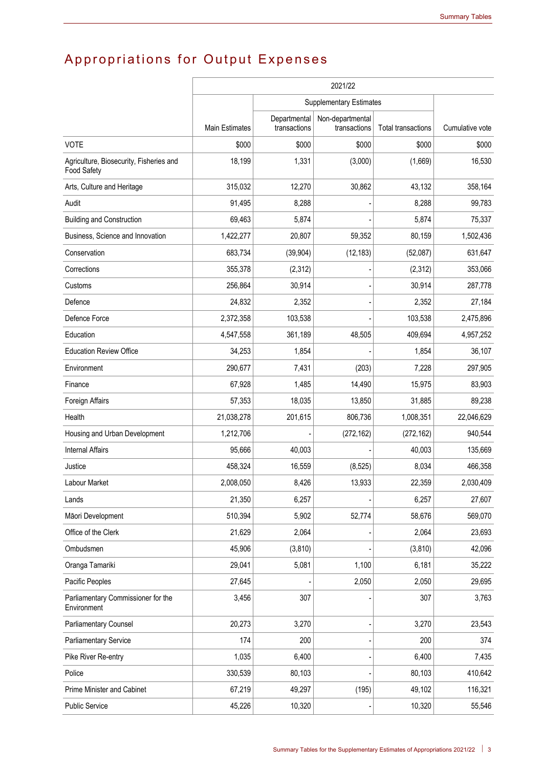# Appropriations for Output Expenses

|                                                        | 2021/22        |                              |                                  |                    |                 |  |
|--------------------------------------------------------|----------------|------------------------------|----------------------------------|--------------------|-----------------|--|
|                                                        |                |                              |                                  |                    |                 |  |
|                                                        | Main Estimates | Departmental<br>transactions | Non-departmental<br>transactions | Total transactions | Cumulative vote |  |
| <b>VOTE</b>                                            | \$000          | \$000                        | \$000                            | \$000              | \$000           |  |
| Agriculture, Biosecurity, Fisheries and<br>Food Safety | 18,199         | 1,331                        | (3,000)                          | (1,669)            | 16,530          |  |
| Arts, Culture and Heritage                             | 315,032        | 12,270                       | 30,862                           | 43,132             | 358,164         |  |
| Audit                                                  | 91,495         | 8,288                        |                                  | 8,288              | 99,783          |  |
| <b>Building and Construction</b>                       | 69,463         | 5,874                        |                                  | 5,874              | 75,337          |  |
| Business, Science and Innovation                       | 1,422,277      | 20,807                       | 59,352                           | 80,159             | 1,502,436       |  |
| Conservation                                           | 683,734        | (39, 904)                    | (12, 183)                        | (52,087)           | 631,647         |  |
| Corrections                                            | 355,378        | (2,312)                      |                                  | (2, 312)           | 353,066         |  |
| Customs                                                | 256,864        | 30,914                       |                                  | 30,914             | 287,778         |  |
| Defence                                                | 24,832         | 2,352                        |                                  | 2,352              | 27,184          |  |
| Defence Force                                          | 2,372,358      | 103,538                      |                                  | 103,538            | 2,475,896       |  |
| Education                                              | 4,547,558      | 361,189                      | 48,505                           | 409,694            | 4,957,252       |  |
| <b>Education Review Office</b>                         | 34,253         | 1,854                        |                                  | 1,854              | 36,107          |  |
| Environment                                            | 290,677        | 7,431                        | (203)                            | 7,228              | 297,905         |  |
| Finance                                                | 67,928         | 1,485                        | 14,490                           | 15,975             | 83,903          |  |
| Foreign Affairs                                        | 57,353         | 18,035                       | 13,850                           | 31,885             | 89,238          |  |
| Health                                                 | 21,038,278     | 201,615                      | 806,736                          | 1,008,351          | 22,046,629      |  |
| Housing and Urban Development                          | 1,212,706      |                              | (272, 162)                       | (272, 162)         | 940,544         |  |
| <b>Internal Affairs</b>                                | 95,666         | 40,003                       |                                  | 40,003             | 135,669         |  |
| Justice                                                | 458,324        | 16,559                       | (8,525)                          | 8,034              | 466,358         |  |
| Labour Market                                          | 2,008,050      | 8,426                        | 13,933                           | 22,359             | 2,030,409       |  |
| Lands                                                  | 21,350         | 6,257                        |                                  | 6,257              | 27,607          |  |
| Māori Development                                      | 510,394        | 5,902                        | 52,774                           | 58,676             | 569,070         |  |
| Office of the Clerk                                    | 21,629         | 2,064                        |                                  | 2,064              | 23,693          |  |
| Ombudsmen                                              | 45,906         | (3,810)                      |                                  | (3,810)            | 42,096          |  |
| Oranga Tamariki                                        | 29,041         | 5,081                        | 1,100                            | 6,181              | 35,222          |  |
| Pacific Peoples                                        | 27,645         |                              | 2,050                            | 2,050              | 29,695          |  |
| Parliamentary Commissioner for the<br>Environment      | 3,456          | 307                          |                                  | 307                | 3,763           |  |
| Parliamentary Counsel                                  | 20,273         | 3,270                        |                                  | 3,270              | 23,543          |  |
| <b>Parliamentary Service</b>                           | 174            | 200                          |                                  | 200                | 374             |  |
| Pike River Re-entry                                    | 1,035          | 6,400                        |                                  | 6,400              | 7,435           |  |
| Police                                                 | 330,539        | 80,103                       |                                  | 80,103             | 410,642         |  |
| Prime Minister and Cabinet                             | 67,219         | 49,297                       | (195)                            | 49,102             | 116,321         |  |
| <b>Public Service</b>                                  | 45,226         | 10,320                       |                                  | 10,320             | 55,546          |  |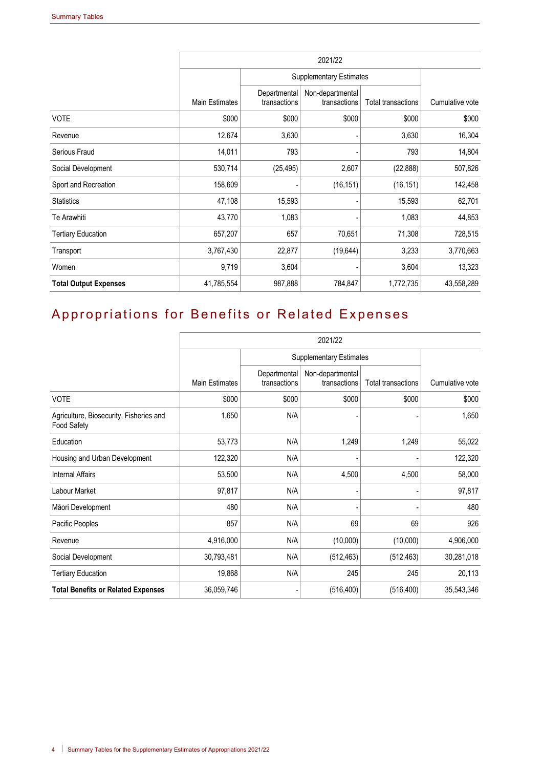|                              | 2021/22               |                              |                                  |                           |                 |  |
|------------------------------|-----------------------|------------------------------|----------------------------------|---------------------------|-----------------|--|
|                              |                       |                              | <b>Supplementary Estimates</b>   |                           |                 |  |
|                              | <b>Main Estimates</b> | Departmental<br>transactions | Non-departmental<br>transactions | <b>Total transactions</b> | Cumulative vote |  |
| <b>VOTE</b>                  | \$000                 | \$000                        | \$000                            | \$000                     | \$000           |  |
| Revenue                      | 12,674                | 3,630                        |                                  | 3,630                     | 16,304          |  |
| Serious Fraud                | 14,011                | 793                          |                                  | 793                       | 14,804          |  |
| Social Development           | 530,714               | (25, 495)                    | 2,607                            | (22, 888)                 | 507,826         |  |
| Sport and Recreation         | 158,609               |                              | (16, 151)                        | (16, 151)                 | 142,458         |  |
| <b>Statistics</b>            | 47,108                | 15,593                       |                                  | 15,593                    | 62,701          |  |
| Te Arawhiti                  | 43,770                | 1,083                        |                                  | 1,083                     | 44,853          |  |
| <b>Tertiary Education</b>    | 657,207               | 657                          | 70,651                           | 71,308                    | 728,515         |  |
| Transport                    | 3,767,430             | 22,877                       | (19, 644)                        | 3,233                     | 3,770,663       |  |
| Women                        | 9,719                 | 3,604                        |                                  | 3,604                     | 13,323          |  |
| <b>Total Output Expenses</b> | 41,785,554            | 987,888                      | 784,847                          | 1,772,735                 | 43,558,289      |  |

## Appropriations for Benefits or Related Expenses

|                                                               | 2021/22               |                                |                                  |                           |                 |  |  |
|---------------------------------------------------------------|-----------------------|--------------------------------|----------------------------------|---------------------------|-----------------|--|--|
|                                                               |                       | <b>Supplementary Estimates</b> |                                  |                           |                 |  |  |
|                                                               | <b>Main Estimates</b> | Departmental<br>transactions   | Non-departmental<br>transactions | <b>Total transactions</b> | Cumulative vote |  |  |
| <b>VOTE</b>                                                   | \$000                 | \$000                          | \$000                            | \$000                     | \$000           |  |  |
| Agriculture, Biosecurity, Fisheries and<br><b>Food Safety</b> | 1,650                 | N/A                            |                                  |                           | 1,650           |  |  |
| Education                                                     | 53,773                | N/A                            | 1,249                            | 1,249                     | 55,022          |  |  |
| Housing and Urban Development                                 | 122,320               | N/A                            |                                  |                           | 122,320         |  |  |
| <b>Internal Affairs</b>                                       | 53,500                | N/A                            | 4,500                            | 4,500                     | 58,000          |  |  |
| Labour Market                                                 | 97,817                | N/A                            |                                  |                           | 97,817          |  |  |
| Māori Development                                             | 480                   | N/A                            |                                  |                           | 480             |  |  |
| Pacific Peoples                                               | 857                   | N/A                            | 69                               | 69                        | 926             |  |  |
| Revenue                                                       | 4,916,000             | N/A                            | (10,000)                         | (10,000)                  | 4,906,000       |  |  |
| Social Development                                            | 30,793,481            | N/A                            | (512, 463)                       | (512, 463)                | 30,281,018      |  |  |
| <b>Tertiary Education</b>                                     | 19,868                | N/A                            | 245                              | 245                       | 20,113          |  |  |
| <b>Total Benefits or Related Expenses</b>                     | 36,059,746            |                                | (516, 400)                       | (516, 400)                | 35,543,346      |  |  |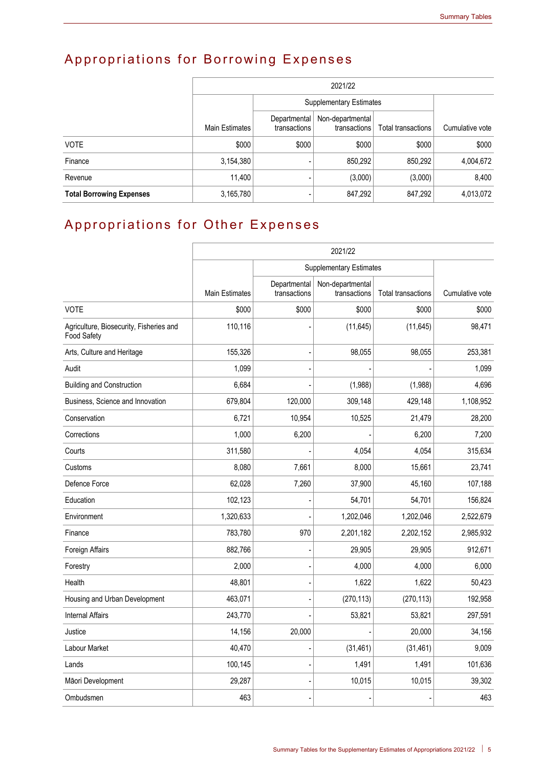# Appropriations for Borrowing Expenses

|                                 | 2021/22        |                              |                                  |                    |                 |  |  |
|---------------------------------|----------------|------------------------------|----------------------------------|--------------------|-----------------|--|--|
|                                 |                |                              | <b>Supplementary Estimates</b>   |                    |                 |  |  |
|                                 | Main Estimates | Departmental<br>transactions | Non-departmental<br>transactions | Total transactions | Cumulative vote |  |  |
| <b>VOTE</b>                     | \$000          | \$000                        | \$000                            | \$000              | \$000           |  |  |
| Finance                         | 3,154,380      |                              | 850,292                          | 850,292            | 4,004,672       |  |  |
| Revenue                         | 11,400         |                              | (3,000)                          | (3,000)            | 8,400           |  |  |
| <b>Total Borrowing Expenses</b> | 3,165,780      |                              | 847,292                          | 847,292            | 4,013,072       |  |  |

## Appropriations for Other Expenses

|                                                        | 2021/22               |                              |                                  |                           |                 |  |
|--------------------------------------------------------|-----------------------|------------------------------|----------------------------------|---------------------------|-----------------|--|
|                                                        |                       |                              | <b>Supplementary Estimates</b>   |                           |                 |  |
|                                                        | <b>Main Estimates</b> | Departmental<br>transactions | Non-departmental<br>transactions | <b>Total transactions</b> | Cumulative vote |  |
| <b>VOTE</b>                                            | \$000                 | \$000                        | \$000                            | \$000                     | \$000           |  |
| Agriculture, Biosecurity, Fisheries and<br>Food Safety | 110,116               |                              | (11, 645)                        | (11, 645)                 | 98,471          |  |
| Arts, Culture and Heritage                             | 155,326               |                              | 98,055                           | 98,055                    | 253,381         |  |
| Audit                                                  | 1,099                 |                              |                                  |                           | 1,099           |  |
| <b>Building and Construction</b>                       | 6,684                 |                              | (1,988)                          | (1,988)                   | 4,696           |  |
| Business, Science and Innovation                       | 679,804               | 120,000                      | 309,148                          | 429,148                   | 1,108,952       |  |
| Conservation                                           | 6,721                 | 10,954                       | 10,525                           | 21,479                    | 28,200          |  |
| Corrections                                            | 1,000                 | 6,200                        |                                  | 6,200                     | 7,200           |  |
| Courts                                                 | 311,580               |                              | 4.054                            | 4,054                     | 315,634         |  |
| Customs                                                | 8,080                 | 7,661                        | 8,000                            | 15,661                    | 23,741          |  |
| Defence Force                                          | 62,028                | 7,260                        | 37,900                           | 45,160                    | 107,188         |  |
| Education                                              | 102,123               |                              | 54,701                           | 54,701                    | 156,824         |  |
| Environment                                            | 1,320,633             |                              | 1,202,046                        | 1,202,046                 | 2,522,679       |  |
| Finance                                                | 783,780               | 970                          | 2,201,182                        | 2,202,152                 | 2,985,932       |  |
| Foreign Affairs                                        | 882,766               |                              | 29,905                           | 29,905                    | 912,671         |  |
| Forestry                                               | 2,000                 |                              | 4,000                            | 4,000                     | 6,000           |  |
| Health                                                 | 48,801                |                              | 1,622                            | 1,622                     | 50,423          |  |
| Housing and Urban Development                          | 463,071               |                              | (270, 113)                       | (270, 113)                | 192,958         |  |
| <b>Internal Affairs</b>                                | 243,770               |                              | 53,821                           | 53,821                    | 297,591         |  |
| Justice                                                | 14,156                | 20,000                       |                                  | 20,000                    | 34,156          |  |
| Labour Market                                          | 40,470                |                              | (31, 461)                        | (31, 461)                 | 9,009           |  |
| Lands                                                  | 100,145               |                              | 1,491                            | 1,491                     | 101,636         |  |
| Māori Development                                      | 29,287                |                              | 10,015                           | 10,015                    | 39,302          |  |
| Ombudsmen                                              | 463                   |                              |                                  |                           | 463             |  |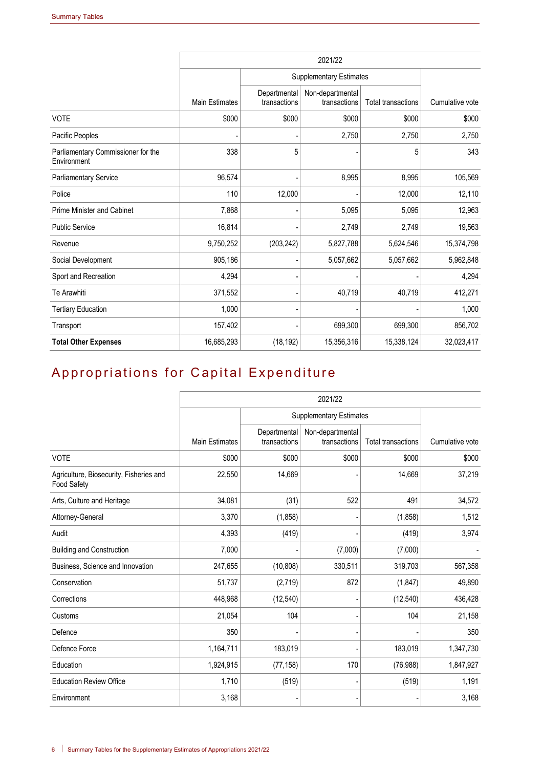|                                                   | 2021/22               |                                |                                  |                           |                 |  |
|---------------------------------------------------|-----------------------|--------------------------------|----------------------------------|---------------------------|-----------------|--|
|                                                   |                       | <b>Supplementary Estimates</b> |                                  |                           |                 |  |
|                                                   | <b>Main Estimates</b> | Departmental<br>transactions   | Non-departmental<br>transactions | <b>Total transactions</b> | Cumulative vote |  |
| <b>VOTE</b>                                       | \$000                 | \$000                          | \$000                            | \$000                     | \$000           |  |
| Pacific Peoples                                   |                       |                                | 2,750                            | 2,750                     | 2,750           |  |
| Parliamentary Commissioner for the<br>Environment | 338                   | 5                              |                                  | 5                         | 343             |  |
| <b>Parliamentary Service</b>                      | 96,574                |                                | 8,995                            | 8,995                     | 105,569         |  |
| Police                                            | 110                   | 12,000                         |                                  | 12,000                    | 12,110          |  |
| <b>Prime Minister and Cabinet</b>                 | 7,868                 |                                | 5,095                            | 5,095                     | 12,963          |  |
| <b>Public Service</b>                             | 16,814                |                                | 2,749                            | 2,749                     | 19,563          |  |
| Revenue                                           | 9,750,252             | (203, 242)                     | 5,827,788                        | 5,624,546                 | 15,374,798      |  |
| Social Development                                | 905,186               |                                | 5,057,662                        | 5,057,662                 | 5,962,848       |  |
| Sport and Recreation                              | 4,294                 |                                |                                  |                           | 4,294           |  |
| Te Arawhiti                                       | 371,552               |                                | 40,719                           | 40,719                    | 412,271         |  |
| <b>Tertiary Education</b>                         | 1,000                 |                                |                                  |                           | 1,000           |  |
| Transport                                         | 157,402               |                                | 699,300                          | 699,300                   | 856,702         |  |
| <b>Total Other Expenses</b>                       | 16,685,293            | (18, 192)                      | 15,356,316                       | 15,338,124                | 32,023,417      |  |

## Appropriations for Capital Expenditure

|                                                               |                       |                              | 2021/22                          |                           |                 |
|---------------------------------------------------------------|-----------------------|------------------------------|----------------------------------|---------------------------|-----------------|
|                                                               |                       |                              | <b>Supplementary Estimates</b>   |                           |                 |
|                                                               | <b>Main Estimates</b> | Departmental<br>transactions | Non-departmental<br>transactions | <b>Total transactions</b> | Cumulative vote |
| <b>VOTE</b>                                                   | \$000                 | \$000                        | \$000                            | \$000                     | \$000           |
| Agriculture, Biosecurity, Fisheries and<br><b>Food Safety</b> | 22,550                | 14,669                       |                                  | 14,669                    | 37,219          |
| Arts, Culture and Heritage                                    | 34,081                | (31)                         | 522                              | 491                       | 34,572          |
| Attorney-General                                              | 3,370                 | (1,858)                      |                                  | (1,858)                   | 1,512           |
| Audit                                                         | 4,393                 | (419)                        |                                  | (419)                     | 3,974           |
| <b>Building and Construction</b>                              | 7,000                 |                              | (7,000)                          | (7,000)                   |                 |
| Business, Science and Innovation                              | 247,655               | (10, 808)                    | 330,511                          | 319,703                   | 567,358         |
| Conservation                                                  | 51,737                | (2,719)                      | 872                              | (1, 847)                  | 49,890          |
| Corrections                                                   | 448,968               | (12, 540)                    |                                  | (12, 540)                 | 436,428         |
| Customs                                                       | 21,054                | 104                          |                                  | 104                       | 21,158          |
| Defence                                                       | 350                   |                              |                                  |                           | 350             |
| Defence Force                                                 | 1,164,711             | 183,019                      |                                  | 183,019                   | 1,347,730       |
| Education                                                     | 1,924,915             | (77, 158)                    | 170                              | (76, 988)                 | 1,847,927       |
| <b>Education Review Office</b>                                | 1,710                 | (519)                        |                                  | (519)                     | 1,191           |
| Environment                                                   | 3,168                 |                              |                                  |                           | 3,168           |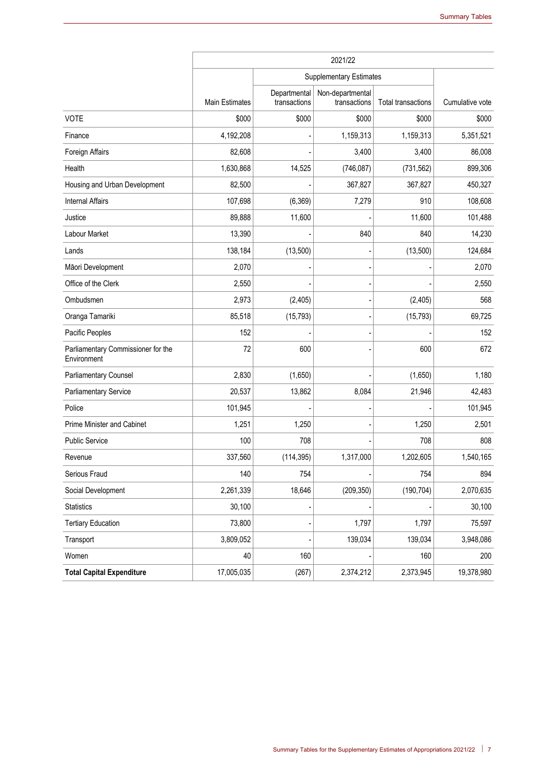|                                                   | 2021/22               |                              |                                  |                           |                 |  |
|---------------------------------------------------|-----------------------|------------------------------|----------------------------------|---------------------------|-----------------|--|
|                                                   |                       |                              | <b>Supplementary Estimates</b>   |                           |                 |  |
|                                                   | <b>Main Estimates</b> | Departmental<br>transactions | Non-departmental<br>transactions | <b>Total transactions</b> | Cumulative vote |  |
| <b>VOTE</b>                                       | \$000                 | \$000                        | \$000                            | \$000                     | \$000           |  |
| Finance                                           | 4,192,208             |                              | 1,159,313                        | 1,159,313                 | 5,351,521       |  |
| Foreign Affairs                                   | 82,608                |                              | 3,400                            | 3,400                     | 86,008          |  |
| Health                                            | 1,630,868             | 14,525                       | (746, 087)                       | (731, 562)                | 899,306         |  |
| Housing and Urban Development                     | 82,500                |                              | 367,827                          | 367,827                   | 450,327         |  |
| <b>Internal Affairs</b>                           | 107,698               | (6, 369)                     | 7,279                            | 910                       | 108,608         |  |
| Justice                                           | 89,888                | 11,600                       |                                  | 11,600                    | 101,488         |  |
| Labour Market                                     | 13,390                |                              | 840                              | 840                       | 14,230          |  |
| Lands                                             | 138,184               | (13,500)                     |                                  | (13,500)                  | 124,684         |  |
| Māori Development                                 | 2,070                 |                              |                                  |                           | 2,070           |  |
| Office of the Clerk                               | 2,550                 |                              |                                  |                           | 2,550           |  |
| Ombudsmen                                         | 2,973                 | (2, 405)                     |                                  | (2, 405)                  | 568             |  |
| Oranga Tamariki                                   | 85,518                | (15, 793)                    |                                  | (15, 793)                 | 69,725          |  |
| Pacific Peoples                                   | 152                   |                              |                                  |                           | 152             |  |
| Parliamentary Commissioner for the<br>Environment | 72                    | 600                          |                                  | 600                       | 672             |  |
| <b>Parliamentary Counsel</b>                      | 2,830                 | (1,650)                      |                                  | (1,650)                   | 1,180           |  |
| Parliamentary Service                             | 20,537                | 13,862                       | 8,084                            | 21,946                    | 42,483          |  |
| Police                                            | 101,945               |                              |                                  |                           | 101,945         |  |
| Prime Minister and Cabinet                        | 1,251                 | 1,250                        |                                  | 1,250                     | 2,501           |  |
| <b>Public Service</b>                             | 100                   | 708                          |                                  | 708                       | 808             |  |
| Revenue                                           | 337,560               | (114, 395)                   | 1,317,000                        | 1,202,605                 | 1,540,165       |  |
| Serious Fraud                                     | 140                   | 754                          |                                  | 754                       | 894             |  |
| Social Development                                | 2,261,339             | 18,646                       | (209, 350)                       | (190, 704)                | 2,070,635       |  |
| <b>Statistics</b>                                 | 30,100                |                              |                                  |                           | 30,100          |  |
| <b>Tertiary Education</b>                         | 73,800                |                              | 1,797                            | 1,797                     | 75,597          |  |
| Transport                                         | 3,809,052             |                              | 139,034                          | 139,034                   | 3,948,086       |  |
| Women                                             | 40                    | 160                          |                                  | 160                       | 200             |  |
| <b>Total Capital Expenditure</b>                  | 17,005,035            | (267)                        | 2,374,212                        | 2,373,945                 | 19,378,980      |  |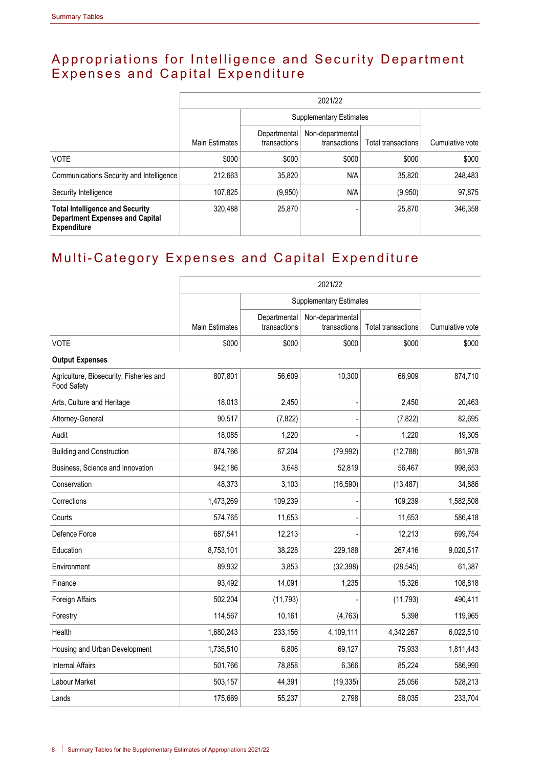#### Appropriations for Intelligence and Security Department Expenses and Capital Expenditure

|                                                                                                        | 2021/22               |                                |                                  |                    |                 |  |  |
|--------------------------------------------------------------------------------------------------------|-----------------------|--------------------------------|----------------------------------|--------------------|-----------------|--|--|
|                                                                                                        | <b>Main Estimates</b> | <b>Supplementary Estimates</b> |                                  |                    |                 |  |  |
|                                                                                                        |                       | Departmental<br>transactions   | Non-departmental<br>transactions | Total transactions | Cumulative vote |  |  |
| <b>VOTE</b>                                                                                            | \$000                 | \$000                          | \$000                            | \$000              | \$000           |  |  |
| Communications Security and Intelligence                                                               | 212,663               | 35,820                         | N/A                              | 35,820             | 248,483         |  |  |
| Security Intelligence                                                                                  | 107,825               | (9,950)                        | N/A                              | (9,950)            | 97,875          |  |  |
| <b>Total Intelligence and Security</b><br><b>Department Expenses and Capital</b><br><b>Expenditure</b> | 320,488               | 25,870                         |                                  | 25,870             | 346,358         |  |  |

## Multi-Category Expenses and Capital Expenditure

|                                                        | 2021/22        |                              |                                  |                    |                 |  |  |
|--------------------------------------------------------|----------------|------------------------------|----------------------------------|--------------------|-----------------|--|--|
|                                                        |                |                              | <b>Supplementary Estimates</b>   |                    |                 |  |  |
|                                                        | Main Estimates | Departmental<br>transactions | Non-departmental<br>transactions | Total transactions | Cumulative vote |  |  |
| <b>VOTE</b>                                            | \$000          | \$000                        | \$000                            | \$000              | \$000           |  |  |
| <b>Output Expenses</b>                                 |                |                              |                                  |                    |                 |  |  |
| Agriculture, Biosecurity, Fisheries and<br>Food Safety | 807,801        | 56,609                       | 10,300                           | 66,909             | 874,710         |  |  |
| Arts, Culture and Heritage                             | 18,013         | 2,450                        |                                  | 2,450              | 20,463          |  |  |
| Attorney-General                                       | 90,517         | (7, 822)                     |                                  | (7, 822)           | 82,695          |  |  |
| Audit                                                  | 18,085         | 1,220                        |                                  | 1,220              | 19,305          |  |  |
| <b>Building and Construction</b>                       | 874,766        | 67,204                       | (79, 992)                        | (12,788)           | 861,978         |  |  |
| Business, Science and Innovation                       | 942,186        | 3,648                        | 52,819                           | 56,467             | 998,653         |  |  |
| Conservation                                           | 48,373         | 3,103                        | (16, 590)                        | (13, 487)          | 34,886          |  |  |
| Corrections                                            | 1,473,269      | 109,239                      |                                  | 109,239            | 1,582,508       |  |  |
| Courts                                                 | 574,765        | 11,653                       |                                  | 11,653             | 586,418         |  |  |
| Defence Force                                          | 687,541        | 12,213                       |                                  | 12,213             | 699,754         |  |  |
| Education                                              | 8,753,101      | 38,228                       | 229,188                          | 267,416            | 9,020,517       |  |  |
| Environment                                            | 89,932         | 3,853                        | (32, 398)                        | (28, 545)          | 61,387          |  |  |
| Finance                                                | 93,492         | 14,091                       | 1,235                            | 15,326             | 108,818         |  |  |
| Foreign Affairs                                        | 502,204        | (11, 793)                    |                                  | (11, 793)          | 490,411         |  |  |
| Forestry                                               | 114,567        | 10,161                       | (4,763)                          | 5,398              | 119,965         |  |  |
| Health                                                 | 1,680,243      | 233,156                      | 4,109,111                        | 4,342,267          | 6,022,510       |  |  |
| Housing and Urban Development                          | 1,735,510      | 6,806                        | 69,127                           | 75,933             | 1,811,443       |  |  |
| <b>Internal Affairs</b>                                | 501,766        | 78,858                       | 6,366                            | 85,224             | 586,990         |  |  |
| Labour Market                                          | 503,157        | 44,391                       | (19, 335)                        | 25,056             | 528,213         |  |  |
| Lands                                                  | 175,669        | 55,237                       | 2,798                            | 58,035             | 233,704         |  |  |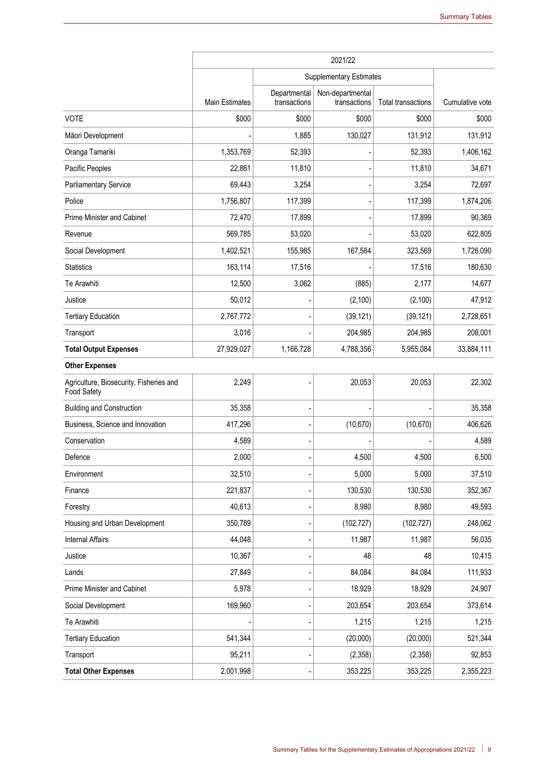|                                                        | 2021/22        |                              |                                  |                           |                 |  |
|--------------------------------------------------------|----------------|------------------------------|----------------------------------|---------------------------|-----------------|--|
|                                                        |                |                              | <b>Supplementary Estimates</b>   |                           |                 |  |
|                                                        | Main Estimates | Departmental<br>transactions | Non-departmental<br>transactions | <b>Total transactions</b> | Cumulative vote |  |
| <b>VOTE</b>                                            | \$000          | \$000                        | \$000                            | \$000                     | \$000           |  |
| Māori Development                                      |                | 1,885                        | 130,027                          | 131,912                   | 131,912         |  |
| Oranga Tamariki                                        | 1,353,769      | 52,393                       |                                  | 52,393                    | 1,406,162       |  |
| Pacific Peoples                                        | 22,861         | 11,810                       |                                  | 11,810                    | 34,671          |  |
| <b>Parliamentary Service</b>                           | 69,443         | 3,254                        |                                  | 3,254                     | 72,697          |  |
| Police                                                 | 1,756,807      | 117,399                      |                                  | 117,399                   | 1,874,206       |  |
| Prime Minister and Cabinet                             | 72,470         | 17,899                       |                                  | 17,899                    | 90,369          |  |
| Revenue                                                | 569,785        | 53,020                       |                                  | 53,020                    | 622,805         |  |
| Social Development                                     | 1,402,521      | 155,985                      | 167,584                          | 323,569                   | 1,726,090       |  |
| <b>Statistics</b>                                      | 163,114        | 17,516                       |                                  | 17,516                    | 180,630         |  |
| Te Arawhiti                                            | 12,500         | 3,062                        | (885)                            | 2,177                     | 14,677          |  |
| Justice                                                | 50,012         |                              | (2, 100)                         | (2, 100)                  | 47,912          |  |
| <b>Tertiary Education</b>                              | 2,767,772      |                              | (39, 121)                        | (39, 121)                 | 2,728,651       |  |
| Transport                                              | 3,016          |                              | 204,985                          | 204,985                   | 208,001         |  |
| <b>Total Output Expenses</b>                           | 27,929,027     | 1,166,728                    | 4,788,356                        | 5,955,084                 | 33,884,111      |  |
| <b>Other Expenses</b>                                  |                |                              |                                  |                           |                 |  |
| Agriculture, Biosecurity, Fisheries and<br>Food Safety | 2,249          |                              | 20,053                           | 20,053                    | 22,302          |  |
| <b>Building and Construction</b>                       | 35,358         |                              |                                  |                           | 35,358          |  |
| Business, Science and Innovation                       | 417,296        |                              | (10, 670)                        | (10, 670)                 | 406,626         |  |
| Conservation                                           | 4,589          |                              |                                  |                           | 4,589           |  |
| Defence                                                | 2,000          |                              | 4,500                            | 4,500                     | 6,500           |  |
| Environment                                            | 32,510         |                              | 5,000                            | 5,000                     | 37,510          |  |
| Finance                                                | 221,837        |                              | 130,530                          | 130,530                   | 352,367         |  |
| Forestry                                               | 40,613         |                              | 8,980                            | 8,980                     | 49,593          |  |
| Housing and Urban Development                          | 350,789        |                              | (102, 727)                       | (102, 727)                | 248,062         |  |
| <b>Internal Affairs</b>                                | 44,048         |                              | 11,987                           | 11,987                    | 56,035          |  |
| Justice                                                | 10,367         |                              | 48                               | 48                        | 10,415          |  |
| Lands                                                  | 27,849         |                              | 84,084                           | 84,084                    | 111,933         |  |
| Prime Minister and Cabinet                             | 5,978          |                              | 18,929                           | 18,929                    | 24,907          |  |
| Social Development                                     | 169,960        |                              | 203,654                          | 203,654                   | 373,614         |  |
| Te Arawhiti                                            |                |                              | 1,215                            | 1,215                     | 1,215           |  |
| <b>Tertiary Education</b>                              | 541,344        |                              | (20,000)                         | (20,000)                  | 521,344         |  |
| Transport                                              | 95,211         |                              | (2,358)                          | (2,358)                   | 92,853          |  |
| <b>Total Other Expenses</b>                            | 2,001,998      |                              | 353,225                          | 353,225                   | 2,355,223       |  |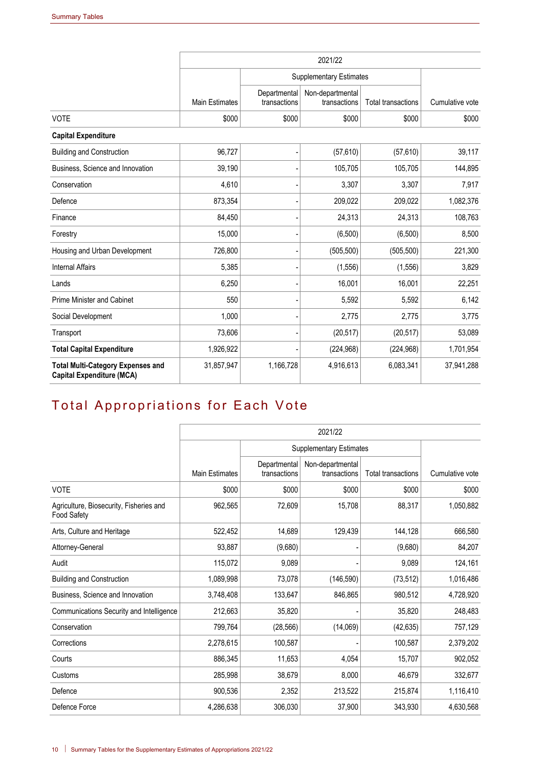|                                                                              | 2021/22               |                              |                                  |                           |                 |  |  |
|------------------------------------------------------------------------------|-----------------------|------------------------------|----------------------------------|---------------------------|-----------------|--|--|
|                                                                              |                       |                              | <b>Supplementary Estimates</b>   |                           |                 |  |  |
|                                                                              | <b>Main Estimates</b> | Departmental<br>transactions | Non-departmental<br>transactions | <b>Total transactions</b> | Cumulative vote |  |  |
| <b>VOTE</b>                                                                  | \$000                 | \$000                        | \$000                            | \$000                     | \$000           |  |  |
| <b>Capital Expenditure</b>                                                   |                       |                              |                                  |                           |                 |  |  |
| <b>Building and Construction</b>                                             | 96,727                |                              | (57, 610)                        | (57, 610)                 | 39,117          |  |  |
| Business, Science and Innovation                                             | 39,190                |                              | 105,705                          | 105,705                   | 144,895         |  |  |
| Conservation                                                                 | 4,610                 |                              | 3,307                            | 3,307                     | 7,917           |  |  |
| Defence                                                                      | 873,354               |                              | 209,022                          | 209,022                   | 1,082,376       |  |  |
| Finance                                                                      | 84,450                |                              | 24,313                           | 24,313                    | 108,763         |  |  |
| Forestry                                                                     | 15,000                |                              | (6,500)                          | (6,500)                   | 8,500           |  |  |
| Housing and Urban Development                                                | 726,800               |                              | (505, 500)                       | (505, 500)                | 221,300         |  |  |
| <b>Internal Affairs</b>                                                      | 5,385                 |                              | (1, 556)                         | (1, 556)                  | 3,829           |  |  |
| Lands                                                                        | 6,250                 |                              | 16,001                           | 16,001                    | 22,251          |  |  |
| <b>Prime Minister and Cabinet</b>                                            | 550                   |                              | 5,592                            | 5,592                     | 6,142           |  |  |
| Social Development                                                           | 1,000                 |                              | 2,775                            | 2,775                     | 3,775           |  |  |
| Transport                                                                    | 73,606                |                              | (20, 517)                        | (20, 517)                 | 53,089          |  |  |
| <b>Total Capital Expenditure</b>                                             | 1,926,922             |                              | (224, 968)                       | (224, 968)                | 1,701,954       |  |  |
| <b>Total Multi-Category Expenses and</b><br><b>Capital Expenditure (MCA)</b> | 31,857,947            | 1,166,728                    | 4,916,613                        | 6,083,341                 | 37,941,288      |  |  |

## Total Appropriations for Each Vote

|                                                        |                       |                              | 2021/22                          |                           |                 |
|--------------------------------------------------------|-----------------------|------------------------------|----------------------------------|---------------------------|-----------------|
|                                                        |                       |                              | <b>Supplementary Estimates</b>   |                           |                 |
|                                                        | <b>Main Estimates</b> | Departmental<br>transactions | Non-departmental<br>transactions | <b>Total transactions</b> | Cumulative vote |
| <b>VOTE</b>                                            | \$000                 | \$000                        | \$000                            | \$000                     | \$000           |
| Agriculture, Biosecurity, Fisheries and<br>Food Safety | 962,565               | 72,609                       | 15,708                           | 88,317                    | 1,050,882       |
| Arts, Culture and Heritage                             | 522,452               | 14,689                       | 129,439                          | 144,128                   | 666,580         |
| Attorney-General                                       | 93,887                | (9,680)                      |                                  | (9,680)                   | 84,207          |
| Audit                                                  | 115,072               | 9,089                        |                                  | 9,089                     | 124,161         |
| <b>Building and Construction</b>                       | 1,089,998             | 73,078                       | (146, 590)                       | (73, 512)                 | 1,016,486       |
| Business, Science and Innovation                       | 3,748,408             | 133,647                      | 846,865                          | 980,512                   | 4,728,920       |
| Communications Security and Intelligence               | 212,663               | 35,820                       |                                  | 35,820                    | 248,483         |
| Conservation                                           | 799,764               | (28, 566)                    | (14,069)                         | (42, 635)                 | 757,129         |
| Corrections                                            | 2,278,615             | 100,587                      |                                  | 100.587                   | 2,379,202       |
| Courts                                                 | 886,345               | 11,653                       | 4,054                            | 15,707                    | 902,052         |
| Customs                                                | 285,998               | 38,679                       | 8,000                            | 46,679                    | 332,677         |
| Defence                                                | 900,536               | 2,352                        | 213,522                          | 215,874                   | 1,116,410       |
| Defence Force                                          | 4,286,638             | 306,030                      | 37,900                           | 343,930                   | 4,630,568       |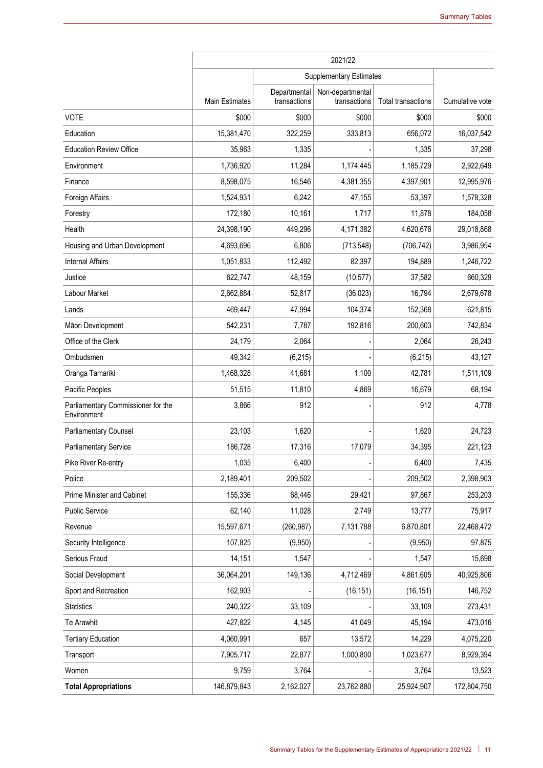|                                                   |                       |                              | 2021/22                          |                    |                 |
|---------------------------------------------------|-----------------------|------------------------------|----------------------------------|--------------------|-----------------|
|                                                   |                       |                              | Supplementary Estimates          |                    |                 |
|                                                   | <b>Main Estimates</b> | Departmental<br>transactions | Non-departmental<br>transactions | Total transactions | Cumulative vote |
| <b>VOTE</b>                                       | \$000                 | \$000                        | \$000                            | \$000              | \$000           |
| Education                                         | 15,381,470            | 322,259                      | 333,813                          | 656,072            | 16,037,542      |
| <b>Education Review Office</b>                    | 35,963                | 1,335                        |                                  | 1,335              | 37,298          |
| Environment                                       | 1,736,920             | 11,284                       | 1,174,445                        | 1,185,729          | 2,922,649       |
| Finance                                           | 8,598,075             | 16,546                       | 4,381,355                        | 4,397,901          | 12,995,976      |
| Foreign Affairs                                   | 1,524,931             | 6,242                        | 47,155                           | 53,397             | 1,578,328       |
| Forestry                                          | 172,180               | 10,161                       | 1,717                            | 11,878             | 184,058         |
| Health                                            | 24,398,190            | 449,296                      | 4,171,382                        | 4,620,678          | 29,018,868      |
| Housing and Urban Development                     | 4,693,696             | 6,806                        | (713, 548)                       | (706, 742)         | 3,986,954       |
| <b>Internal Affairs</b>                           | 1,051,833             | 112,492                      | 82,397                           | 194,889            | 1,246,722       |
| Justice                                           | 622,747               | 48,159                       | (10, 577)                        | 37,582             | 660,329         |
| Labour Market                                     | 2,662,884             | 52,817                       | (36, 023)                        | 16,794             | 2,679,678       |
| Lands                                             | 469,447               | 47,994                       | 104,374                          | 152,368            | 621,815         |
| Māori Development                                 | 542,231               | 7,787                        | 192,816                          | 200,603            | 742,834         |
| Office of the Clerk                               | 24,179                | 2,064                        |                                  | 2,064              | 26,243          |
| Ombudsmen                                         | 49,342                | (6, 215)                     |                                  | (6, 215)           | 43,127          |
| Oranga Tamariki                                   | 1,468,328             | 41,681                       | 1,100                            | 42,781             | 1,511,109       |
| Pacific Peoples                                   | 51,515                | 11,810                       | 4,869                            | 16,679             | 68,194          |
| Parliamentary Commissioner for the<br>Environment | 3,866                 | 912                          |                                  | 912                | 4,778           |
| <b>Parliamentary Counsel</b>                      | 23,103                | 1,620                        |                                  | 1,620              | 24,723          |
| <b>Parliamentary Service</b>                      | 186,728               | 17,316                       | 17,079                           | 34,395             | 221,123         |
| Pike River Re-entry                               | 1,035                 | 6,400                        |                                  | 6,400              | 7,435           |
| Police                                            | 2,189,401             | 209,502                      |                                  | 209,502            | 2,398,903       |
| Prime Minister and Cabinet                        | 155,336               | 68,446                       | 29,421                           | 97,867             | 253,203         |
| <b>Public Service</b>                             | 62,140                | 11,028                       | 2,749                            | 13,777             | 75,917          |
| Revenue                                           | 15,597,671            | (260, 987)                   | 7,131,788                        | 6,870,801          | 22,468,472      |
| Security Intelligence                             | 107,825               | (9,950)                      |                                  | (9,950)            | 97,875          |
| Serious Fraud                                     | 14,151                | 1,547                        |                                  | 1,547              | 15,698          |
| Social Development                                | 36,064,201            | 149,136                      | 4,712,469                        | 4,861,605          | 40,925,806      |
| Sport and Recreation                              | 162,903               |                              | (16, 151)                        | (16, 151)          | 146,752         |
| Statistics                                        | 240,322               | 33,109                       |                                  | 33,109             | 273,431         |
| Te Arawhiti                                       | 427,822               | 4,145                        | 41,049                           | 45,194             | 473,016         |
| <b>Tertiary Education</b>                         | 4,060,991             | 657                          | 13,572                           | 14,229             | 4,075,220       |
| Transport                                         | 7,905,717             | 22,877                       | 1,000,800                        | 1,023,677          | 8,929,394       |
| Women                                             | 9,759                 | 3,764                        |                                  | 3,764              | 13,523          |
| <b>Total Appropriations</b>                       | 146,879,843           | 2,162,027                    | 23,762,880                       | 25,924,907         | 172,804,750     |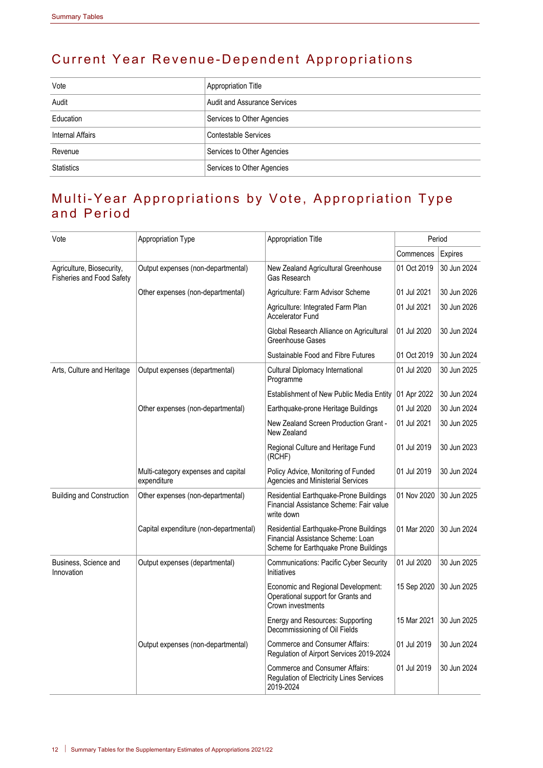## Current Year Revenue-Dependent Appropriations

| Vote              | Appropriation Title                 |
|-------------------|-------------------------------------|
| Audit             | <b>Audit and Assurance Services</b> |
| Education         | Services to Other Agencies          |
| Internal Affairs  | <b>Contestable Services</b>         |
| Revenue           | Services to Other Agencies          |
| <b>Statistics</b> | Services to Other Agencies          |

#### Multi-Year Appropriations by Vote, Appropriation Type and Period

| Vote                                                          | Appropriation Type                                 | Appropriation Title                                                                                                  | Period      |             |
|---------------------------------------------------------------|----------------------------------------------------|----------------------------------------------------------------------------------------------------------------------|-------------|-------------|
|                                                               |                                                    |                                                                                                                      | Commences   | Expires     |
| Agriculture, Biosecurity,<br><b>Fisheries and Food Safety</b> | Output expenses (non-departmental)                 | New Zealand Agricultural Greenhouse<br>Gas Research                                                                  | 01 Oct 2019 | 30 Jun 2024 |
|                                                               | Other expenses (non-departmental)                  | Agriculture: Farm Advisor Scheme                                                                                     | 01 Jul 2021 | 30 Jun 2026 |
|                                                               |                                                    | Agriculture: Integrated Farm Plan<br><b>Accelerator Fund</b>                                                         | 01 Jul 2021 | 30 Jun 2026 |
|                                                               |                                                    | Global Research Alliance on Agricultural<br>Greenhouse Gases                                                         | 01 Jul 2020 | 30 Jun 2024 |
|                                                               |                                                    | Sustainable Food and Fibre Futures                                                                                   | 01 Oct 2019 | 30 Jun 2024 |
| Arts, Culture and Heritage                                    | Output expenses (departmental)                     | Cultural Diplomacy International<br>Programme                                                                        | 01 Jul 2020 | 30 Jun 2025 |
|                                                               |                                                    | Establishment of New Public Media Entity                                                                             | 01 Apr 2022 | 30 Jun 2024 |
|                                                               | Other expenses (non-departmental)                  | Earthquake-prone Heritage Buildings                                                                                  | 01 Jul 2020 | 30 Jun 2024 |
|                                                               |                                                    | New Zealand Screen Production Grant -<br>New Zealand                                                                 | 01 Jul 2021 | 30 Jun 2025 |
|                                                               |                                                    | Regional Culture and Heritage Fund<br>(RCHF)                                                                         | 01 Jul 2019 | 30 Jun 2023 |
|                                                               | Multi-category expenses and capital<br>expenditure | Policy Advice, Monitoring of Funded<br>Agencies and Ministerial Services                                             | 01 Jul 2019 | 30 Jun 2024 |
| <b>Building and Construction</b>                              | Other expenses (non-departmental)                  | Residential Earthquake-Prone Buildings<br>Financial Assistance Scheme: Fair value<br>write down                      | 01 Nov 2020 | 30 Jun 2025 |
|                                                               | Capital expenditure (non-departmental)             | Residential Earthquake-Prone Buildings<br>Financial Assistance Scheme: Loan<br>Scheme for Earthquake Prone Buildings | 01 Mar 2020 | 30 Jun 2024 |
| Business, Science and<br>Innovation                           | Output expenses (departmental)                     | <b>Communications: Pacific Cyber Security</b><br>Initiatives                                                         | 01 Jul 2020 | 30 Jun 2025 |
|                                                               |                                                    | Economic and Regional Development:<br>Operational support for Grants and<br>Crown investments                        | 15 Sep 2020 | 30 Jun 2025 |
|                                                               |                                                    | Energy and Resources: Supporting<br>Decommissioning of Oil Fields                                                    | 15 Mar 2021 | 30 Jun 2025 |
|                                                               | Output expenses (non-departmental)                 | <b>Commerce and Consumer Affairs:</b><br>Regulation of Airport Services 2019-2024                                    | 01 Jul 2019 | 30 Jun 2024 |
|                                                               |                                                    | <b>Commerce and Consumer Affairs:</b><br>Regulation of Electricity Lines Services<br>2019-2024                       | 01 Jul 2019 | 30 Jun 2024 |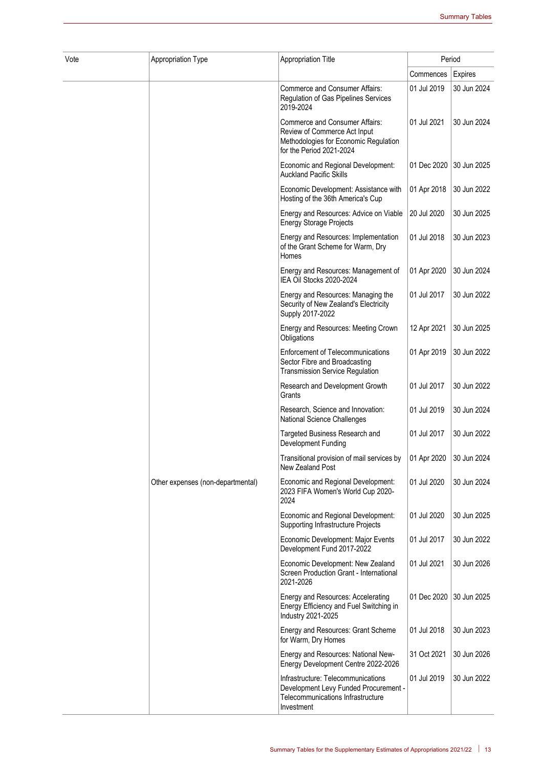| Vote | Appropriation Type                | <b>Appropriation Title</b>                                                                                                                 |             | Period         |  |
|------|-----------------------------------|--------------------------------------------------------------------------------------------------------------------------------------------|-------------|----------------|--|
|      |                                   |                                                                                                                                            | Commences   | <b>Expires</b> |  |
|      |                                   | Commerce and Consumer Affairs:<br>Regulation of Gas Pipelines Services<br>2019-2024                                                        | 01 Jul 2019 | 30 Jun 2024    |  |
|      |                                   | <b>Commerce and Consumer Affairs:</b><br>Review of Commerce Act Input<br>Methodologies for Economic Regulation<br>for the Period 2021-2024 | 01 Jul 2021 | 30 Jun 2024    |  |
|      |                                   | Economic and Regional Development:<br><b>Auckland Pacific Skills</b>                                                                       | 01 Dec 2020 | 30 Jun 2025    |  |
|      |                                   | Economic Development: Assistance with<br>Hosting of the 36th America's Cup                                                                 | 01 Apr 2018 | 30 Jun 2022    |  |
|      |                                   | Energy and Resources: Advice on Viable<br><b>Energy Storage Projects</b>                                                                   | 20 Jul 2020 | 30 Jun 2025    |  |
|      |                                   | Energy and Resources: Implementation<br>of the Grant Scheme for Warm, Dry<br>Homes                                                         | 01 Jul 2018 | 30 Jun 2023    |  |
|      |                                   | Energy and Resources: Management of<br>IEA Oil Stocks 2020-2024                                                                            | 01 Apr 2020 | 30 Jun 2024    |  |
|      |                                   | Energy and Resources: Managing the<br>Security of New Zealand's Electricity<br>Supply 2017-2022                                            | 01 Jul 2017 | 30 Jun 2022    |  |
|      |                                   | Energy and Resources: Meeting Crown<br>Obligations                                                                                         | 12 Apr 2021 | 30 Jun 2025    |  |
|      |                                   | <b>Enforcement of Telecommunications</b><br>Sector Fibre and Broadcasting<br><b>Transmission Service Regulation</b>                        | 01 Apr 2019 | 30 Jun 2022    |  |
|      |                                   | Research and Development Growth<br>Grants                                                                                                  | 01 Jul 2017 | 30 Jun 2022    |  |
|      |                                   | Research, Science and Innovation:<br>National Science Challenges                                                                           | 01 Jul 2019 | 30 Jun 2024    |  |
|      |                                   | Targeted Business Research and<br>Development Funding                                                                                      | 01 Jul 2017 | 30 Jun 2022    |  |
|      |                                   | Transitional provision of mail services by<br>New Zealand Post                                                                             | 01 Apr 2020 | 30 Jun 2024    |  |
|      | Other expenses (non-departmental) | Economic and Regional Development:<br>2023 FIFA Women's World Cup 2020-<br>2024                                                            | 01 Jul 2020 | 30 Jun 2024    |  |
|      |                                   | Economic and Regional Development:<br>Supporting Infrastructure Projects                                                                   | 01 Jul 2020 | 30 Jun 2025    |  |
|      |                                   | Economic Development: Major Events<br>Development Fund 2017-2022                                                                           | 01 Jul 2017 | 30 Jun 2022    |  |
|      |                                   | Economic Development: New Zealand<br>Screen Production Grant - International<br>2021-2026                                                  | 01 Jul 2021 | 30 Jun 2026    |  |
|      |                                   | Energy and Resources: Accelerating<br>Energy Efficiency and Fuel Switching in<br>Industry 2021-2025                                        | 01 Dec 2020 | 30 Jun 2025    |  |
|      |                                   | Energy and Resources: Grant Scheme<br>for Warm, Dry Homes                                                                                  | 01 Jul 2018 | 30 Jun 2023    |  |
|      |                                   | Energy and Resources: National New-<br>Energy Development Centre 2022-2026                                                                 | 31 Oct 2021 | 30 Jun 2026    |  |
|      |                                   | Infrastructure: Telecommunications<br>Development Levy Funded Procurement -<br>Telecommunications Infrastructure<br>Investment             | 01 Jul 2019 | 30 Jun 2022    |  |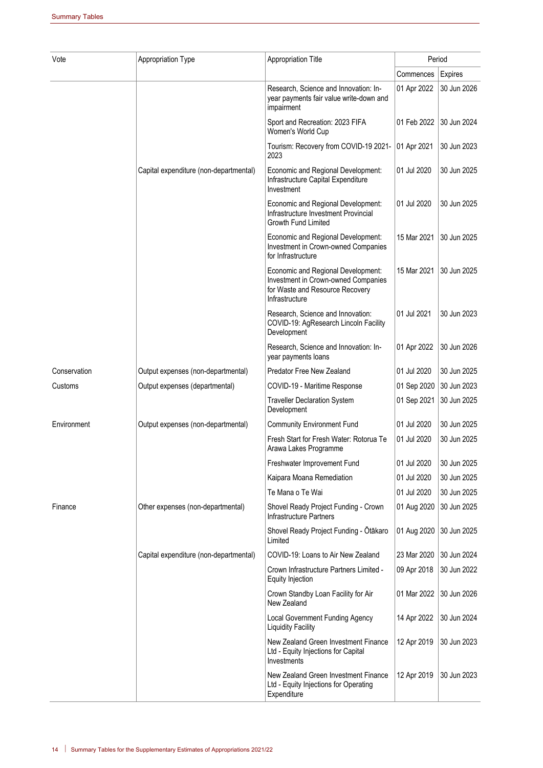| Vote         | Appropriation Type                     | Appropriation Title                                                                                                            | Period      |             |
|--------------|----------------------------------------|--------------------------------------------------------------------------------------------------------------------------------|-------------|-------------|
|              |                                        |                                                                                                                                | Commences   | Expires     |
|              |                                        | Research, Science and Innovation: In-<br>year payments fair value write-down and<br>impairment                                 | 01 Apr 2022 | 30 Jun 2026 |
|              |                                        | Sport and Recreation: 2023 FIFA<br>Women's World Cup                                                                           | 01 Feb 2022 | 30 Jun 2024 |
|              |                                        | Tourism: Recovery from COVID-19 2021-<br>2023                                                                                  | 01 Apr 2021 | 30 Jun 2023 |
|              | Capital expenditure (non-departmental) | Economic and Regional Development:<br>Infrastructure Capital Expenditure<br>Investment                                         | 01 Jul 2020 | 30 Jun 2025 |
|              |                                        | Economic and Regional Development:<br>Infrastructure Investment Provincial<br><b>Growth Fund Limited</b>                       | 01 Jul 2020 | 30 Jun 2025 |
|              |                                        | Economic and Regional Development:<br>Investment in Crown-owned Companies<br>for Infrastructure                                | 15 Mar 2021 | 30 Jun 2025 |
|              |                                        | Economic and Regional Development:<br>Investment in Crown-owned Companies<br>for Waste and Resource Recovery<br>Infrastructure | 15 Mar 2021 | 30 Jun 2025 |
|              |                                        | Research, Science and Innovation:<br>COVID-19: AgResearch Lincoln Facility<br>Development                                      | 01 Jul 2021 | 30 Jun 2023 |
|              |                                        | Research, Science and Innovation: In-<br>year payments loans                                                                   | 01 Apr 2022 | 30 Jun 2026 |
| Conservation | Output expenses (non-departmental)     | Predator Free New Zealand                                                                                                      | 01 Jul 2020 | 30 Jun 2025 |
| Customs      | Output expenses (departmental)         | COVID-19 - Maritime Response                                                                                                   | 01 Sep 2020 | 30 Jun 2023 |
|              |                                        | <b>Traveller Declaration System</b><br>Development                                                                             | 01 Sep 2021 | 30 Jun 2025 |
| Environment  | Output expenses (non-departmental)     | <b>Community Environment Fund</b>                                                                                              | 01 Jul 2020 | 30 Jun 2025 |
|              |                                        | Fresh Start for Fresh Water: Rotorua Te<br>Arawa Lakes Programme                                                               | 01 Jul 2020 | 30 Jun 2025 |
|              |                                        | Freshwater Improvement Fund                                                                                                    | 01 Jul 2020 | 30 Jun 2025 |
|              |                                        | Kaipara Moana Remediation                                                                                                      | 01 Jul 2020 | 30 Jun 2025 |
|              |                                        | Te Mana o Te Wai                                                                                                               | 01 Jul 2020 | 30 Jun 2025 |
| Finance      | Other expenses (non-departmental)      | Shovel Ready Project Funding - Crown<br>Infrastructure Partners                                                                | 01 Aug 2020 | 30 Jun 2025 |
|              |                                        | Shovel Ready Project Funding - Ōtākaro<br>Limited                                                                              | 01 Aug 2020 | 30 Jun 2025 |
|              | Capital expenditure (non-departmental) | COVID-19: Loans to Air New Zealand                                                                                             | 23 Mar 2020 | 30 Jun 2024 |
|              |                                        | Crown Infrastructure Partners Limited -<br>Equity Injection                                                                    | 09 Apr 2018 | 30 Jun 2022 |
|              |                                        | Crown Standby Loan Facility for Air<br>New Zealand                                                                             | 01 Mar 2022 | 30 Jun 2026 |
|              |                                        | Local Government Funding Agency<br><b>Liquidity Facility</b>                                                                   | 14 Apr 2022 | 30 Jun 2024 |
|              |                                        | New Zealand Green Investment Finance<br>Ltd - Equity Injections for Capital<br>Investments                                     | 12 Apr 2019 | 30 Jun 2023 |
|              |                                        | New Zealand Green Investment Finance<br>Ltd - Equity Injections for Operating<br>Expenditure                                   | 12 Apr 2019 | 30 Jun 2023 |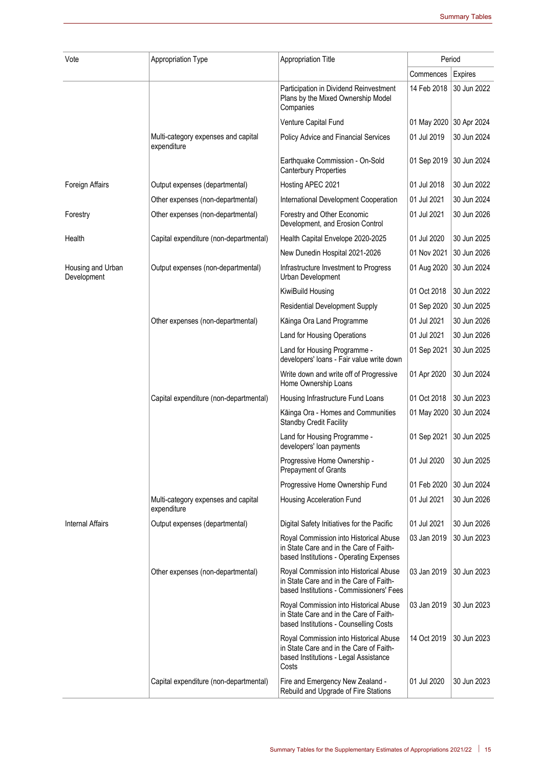| Vote                             | Appropriation Type                                 | Appropriation Title                                                                                                                 | Period      |                |  |
|----------------------------------|----------------------------------------------------|-------------------------------------------------------------------------------------------------------------------------------------|-------------|----------------|--|
|                                  |                                                    |                                                                                                                                     | Commences   | <b>Expires</b> |  |
|                                  |                                                    | Participation in Dividend Reinvestment<br>Plans by the Mixed Ownership Model<br>Companies                                           | 14 Feb 2018 | 30 Jun 2022    |  |
|                                  |                                                    | Venture Capital Fund                                                                                                                | 01 May 2020 | 30 Apr 2024    |  |
|                                  | Multi-category expenses and capital<br>expenditure | Policy Advice and Financial Services                                                                                                | 01 Jul 2019 | 30 Jun 2024    |  |
|                                  |                                                    | Earthquake Commission - On-Sold<br><b>Canterbury Properties</b>                                                                     | 01 Sep 2019 | 30 Jun 2024    |  |
| Foreign Affairs                  | Output expenses (departmental)                     | Hosting APEC 2021                                                                                                                   | 01 Jul 2018 | 30 Jun 2022    |  |
|                                  | Other expenses (non-departmental)                  | International Development Cooperation                                                                                               | 01 Jul 2021 | 30 Jun 2024    |  |
| Forestry                         | Other expenses (non-departmental)                  | Forestry and Other Economic<br>Development, and Erosion Control                                                                     | 01 Jul 2021 | 30 Jun 2026    |  |
| Health                           | Capital expenditure (non-departmental)             | Health Capital Envelope 2020-2025                                                                                                   | 01 Jul 2020 | 30 Jun 2025    |  |
|                                  |                                                    | New Dunedin Hospital 2021-2026                                                                                                      | 01 Nov 2021 | 30 Jun 2026    |  |
| Housing and Urban<br>Development | Output expenses (non-departmental)                 | Infrastructure Investment to Progress<br>Urban Development                                                                          | 01 Aug 2020 | 30 Jun 2024    |  |
|                                  |                                                    | KiwiBuild Housing                                                                                                                   | 01 Oct 2018 | 30 Jun 2022    |  |
|                                  |                                                    | <b>Residential Development Supply</b>                                                                                               | 01 Sep 2020 | 30 Jun 2025    |  |
|                                  | Other expenses (non-departmental)                  | Kāinga Ora Land Programme                                                                                                           | 01 Jul 2021 | 30 Jun 2026    |  |
|                                  |                                                    | Land for Housing Operations                                                                                                         | 01 Jul 2021 | 30 Jun 2026    |  |
|                                  |                                                    | Land for Housing Programme -<br>developers' loans - Fair value write down                                                           | 01 Sep 2021 | 30 Jun 2025    |  |
|                                  |                                                    | Write down and write off of Progressive<br>Home Ownership Loans                                                                     | 01 Apr 2020 | 30 Jun 2024    |  |
|                                  | Capital expenditure (non-departmental)             | Housing Infrastructure Fund Loans                                                                                                   | 01 Oct 2018 | 30 Jun 2023    |  |
|                                  |                                                    | Kāinga Ora - Homes and Communities<br><b>Standby Credit Facility</b>                                                                | 01 May 2020 | 30 Jun 2024    |  |
|                                  |                                                    | Land for Housing Programme -<br>developers' loan payments                                                                           | 01 Sep 2021 | 30 Jun 2025    |  |
|                                  |                                                    | Progressive Home Ownership -<br>Prepayment of Grants                                                                                | 01 Jul 2020 | 30 Jun 2025    |  |
|                                  |                                                    | Progressive Home Ownership Fund                                                                                                     | 01 Feb 2020 | 30 Jun 2024    |  |
|                                  | Multi-category expenses and capital<br>expenditure | Housing Acceleration Fund                                                                                                           | 01 Jul 2021 | 30 Jun 2026    |  |
| <b>Internal Affairs</b>          | Output expenses (departmental)                     | Digital Safety Initiatives for the Pacific                                                                                          | 01 Jul 2021 | 30 Jun 2026    |  |
|                                  |                                                    | Royal Commission into Historical Abuse<br>in State Care and in the Care of Faith-<br>based Institutions - Operating Expenses        | 03 Jan 2019 | 30 Jun 2023    |  |
|                                  | Other expenses (non-departmental)                  | Royal Commission into Historical Abuse<br>in State Care and in the Care of Faith-<br>based Institutions - Commissioners' Fees       | 03 Jan 2019 | 30 Jun 2023    |  |
|                                  |                                                    | Royal Commission into Historical Abuse<br>in State Care and in the Care of Faith-<br>based Institutions - Counselling Costs         | 03 Jan 2019 | 30 Jun 2023    |  |
|                                  |                                                    | Royal Commission into Historical Abuse<br>in State Care and in the Care of Faith-<br>based Institutions - Legal Assistance<br>Costs | 14 Oct 2019 | 30 Jun 2023    |  |
|                                  | Capital expenditure (non-departmental)             | Fire and Emergency New Zealand -<br>Rebuild and Upgrade of Fire Stations                                                            | 01 Jul 2020 | 30 Jun 2023    |  |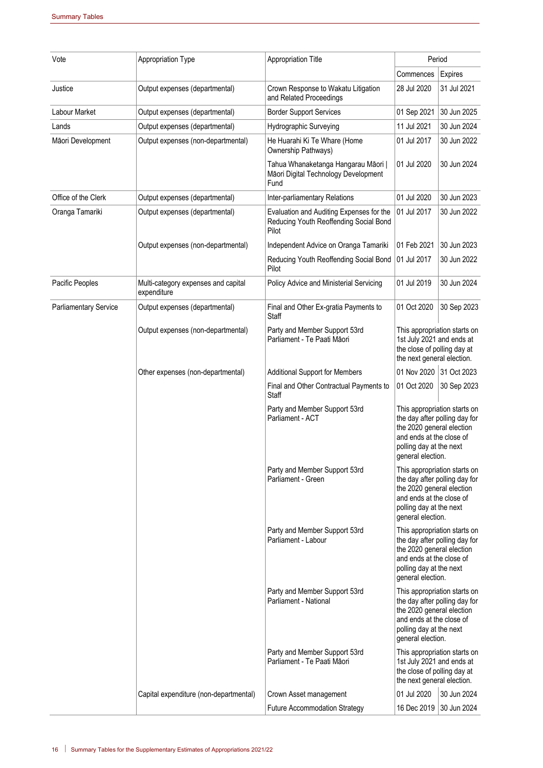| Vote                         | Appropriation Type                                 | Appropriation Title                                                                                                              | Period                                                                                                                                                                 |                                                                                            |
|------------------------------|----------------------------------------------------|----------------------------------------------------------------------------------------------------------------------------------|------------------------------------------------------------------------------------------------------------------------------------------------------------------------|--------------------------------------------------------------------------------------------|
|                              |                                                    |                                                                                                                                  | Commences                                                                                                                                                              | Expires                                                                                    |
| Justice                      | Output expenses (departmental)                     | Crown Response to Wakatu Litigation<br>and Related Proceedings                                                                   | 28 Jul 2020                                                                                                                                                            | 31 Jul 2021                                                                                |
| Labour Market                | Output expenses (departmental)                     | <b>Border Support Services</b>                                                                                                   | 01 Sep 2021                                                                                                                                                            | 30 Jun 2025                                                                                |
| Lands                        | Output expenses (departmental)                     | <b>Hydrographic Surveying</b>                                                                                                    | 11 Jul 2021                                                                                                                                                            | 30 Jun 2024                                                                                |
| Māori Development            | Output expenses (non-departmental)                 | He Huarahi Ki Te Whare (Home<br>Ownership Pathways)                                                                              | 01 Jul 2017                                                                                                                                                            | 30 Jun 2022                                                                                |
|                              |                                                    | Tahua Whanaketanga Hangarau Māori  <br>Māori Digital Technology Development<br>Fund                                              | 01 Jul 2020                                                                                                                                                            | 30 Jun 2024                                                                                |
| Office of the Clerk          | Output expenses (departmental)                     | Inter-parliamentary Relations                                                                                                    | 01 Jul 2020                                                                                                                                                            | 30 Jun 2023                                                                                |
| Oranga Tamariki              | Output expenses (departmental)                     | Evaluation and Auditing Expenses for the<br>Reducing Youth Reoffending Social Bond<br>Pilot                                      | 01 Jul 2017                                                                                                                                                            | 30 Jun 2022                                                                                |
|                              | Output expenses (non-departmental)                 | Independent Advice on Oranga Tamariki                                                                                            | 01 Feb 2021                                                                                                                                                            | 30 Jun 2023                                                                                |
|                              |                                                    | Reducing Youth Reoffending Social Bond<br>Pilot                                                                                  | 01 Jul 2017                                                                                                                                                            | 30 Jun 2022                                                                                |
| Pacific Peoples              | Multi-category expenses and capital<br>expenditure | Policy Advice and Ministerial Servicing                                                                                          | 01 Jul 2019                                                                                                                                                            | 30 Jun 2024                                                                                |
| <b>Parliamentary Service</b> | Output expenses (departmental)                     | Final and Other Ex-gratia Payments to<br><b>Staff</b>                                                                            | 01 Oct 2020                                                                                                                                                            | 30 Sep 2023                                                                                |
|                              | Output expenses (non-departmental)                 | Party and Member Support 53rd<br>Parliament - Te Paati Māori                                                                     | This appropriation starts on<br>1st July 2021 and ends at<br>the close of polling day at<br>the next general election.                                                 |                                                                                            |
|                              | Other expenses (non-departmental)                  | <b>Additional Support for Members</b>                                                                                            | 01 Nov 2020 31 Oct 2023                                                                                                                                                |                                                                                            |
|                              |                                                    | Final and Other Contractual Payments to<br>Staff                                                                                 | 01 Oct 2020                                                                                                                                                            | 30 Sep 2023                                                                                |
|                              |                                                    | Party and Member Support 53rd<br>Parliament - ACT                                                                                | This appropriation starts on<br>the day after polling day for<br>the 2020 general election<br>and ends at the close of<br>polling day at the next<br>general election. |                                                                                            |
|                              |                                                    | Party and Member Support 53rd<br>Parliament - Green                                                                              | This appropriation starts on<br>the day after polling day for<br>the 2020 general election<br>and ends at the close of<br>polling day at the next<br>general election. |                                                                                            |
|                              |                                                    | Party and Member Support 53rd<br>Parliament - Labour<br>and ends at the close of<br>polling day at the next<br>general election. |                                                                                                                                                                        | This appropriation starts on<br>the day after polling day for<br>the 2020 general election |
|                              |                                                    | Party and Member Support 53rd<br>Parliament - National                                                                           | This appropriation starts on<br>the day after polling day for<br>the 2020 general election<br>and ends at the close of<br>polling day at the next<br>general election. |                                                                                            |
|                              |                                                    | Party and Member Support 53rd<br>Parliament - Te Paati Māori                                                                     | This appropriation starts on<br>1st July 2021 and ends at<br>the close of polling day at<br>the next general election.                                                 |                                                                                            |
|                              | Capital expenditure (non-departmental)             | Crown Asset management                                                                                                           | 01 Jul 2020                                                                                                                                                            | 30 Jun 2024                                                                                |
|                              |                                                    | <b>Future Accommodation Strategy</b>                                                                                             | 16 Dec 2019 30 Jun 2024                                                                                                                                                |                                                                                            |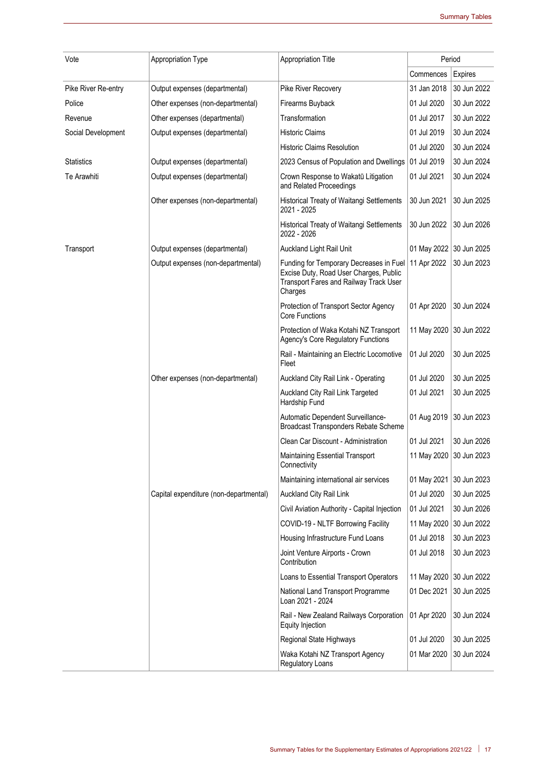| Vote                | Appropriation Type                     | <b>Appropriation Title</b>                                                                                                             | Period                  |             |
|---------------------|----------------------------------------|----------------------------------------------------------------------------------------------------------------------------------------|-------------------------|-------------|
|                     |                                        |                                                                                                                                        | Commences               | Expires     |
| Pike River Re-entry | Output expenses (departmental)         | Pike River Recovery                                                                                                                    | 31 Jan 2018             | 30 Jun 2022 |
| Police              | Other expenses (non-departmental)      | Firearms Buyback                                                                                                                       | 01 Jul 2020             | 30 Jun 2022 |
| Revenue             | Other expenses (departmental)          | Transformation                                                                                                                         | 01 Jul 2017             | 30 Jun 2022 |
| Social Development  | Output expenses (departmental)         | <b>Historic Claims</b>                                                                                                                 | 01 Jul 2019             | 30 Jun 2024 |
|                     |                                        | <b>Historic Claims Resolution</b>                                                                                                      | 01 Jul 2020             | 30 Jun 2024 |
| <b>Statistics</b>   | Output expenses (departmental)         | 2023 Census of Population and Dwellings                                                                                                | 01 Jul 2019             | 30 Jun 2024 |
| Te Arawhiti         | Output expenses (departmental)         | Crown Response to Wakatū Litigation<br>and Related Proceedings                                                                         | 01 Jul 2021             | 30 Jun 2024 |
|                     | Other expenses (non-departmental)      | Historical Treaty of Waitangi Settlements<br>2021 - 2025                                                                               | 30 Jun 2021             | 30 Jun 2025 |
|                     |                                        | Historical Treaty of Waitangi Settlements<br>2022 - 2026                                                                               | 30 Jun 2022             | 30 Jun 2026 |
| Transport           | Output expenses (departmental)         | Auckland Light Rail Unit                                                                                                               | 01 May 2022 30 Jun 2025 |             |
|                     | Output expenses (non-departmental)     | Funding for Temporary Decreases in Fuel<br>Excise Duty, Road User Charges, Public<br>Transport Fares and Railway Track User<br>Charges | 11 Apr 2022             | 30 Jun 2023 |
|                     |                                        | Protection of Transport Sector Agency<br><b>Core Functions</b>                                                                         | 01 Apr 2020             | 30 Jun 2024 |
|                     |                                        | Protection of Waka Kotahi NZ Transport<br>Agency's Core Regulatory Functions                                                           | 11 May 2020 30 Jun 2022 |             |
|                     |                                        | Rail - Maintaining an Electric Locomotive<br>Fleet                                                                                     | 01 Jul 2020             | 30 Jun 2025 |
|                     | Other expenses (non-departmental)      | Auckland City Rail Link - Operating                                                                                                    | 01 Jul 2020             | 30 Jun 2025 |
|                     |                                        | Auckland City Rail Link Targeted<br>Hardship Fund                                                                                      | 01 Jul 2021             | 30 Jun 2025 |
|                     |                                        | Automatic Dependent Surveillance-<br>Broadcast Transponders Rebate Scheme                                                              | 01 Aug 2019             | 30 Jun 2023 |
|                     |                                        | Clean Car Discount - Administration                                                                                                    | 01 Jul 2021             | 30 Jun 2026 |
|                     |                                        | Maintaining Essential Transport<br>Connectivity                                                                                        | 11 May 2020 30 Jun 2023 |             |
|                     |                                        | Maintaining international air services                                                                                                 | 01 May 2021             | 30 Jun 2023 |
|                     | Capital expenditure (non-departmental) | Auckland City Rail Link                                                                                                                | 01 Jul 2020             | 30 Jun 2025 |
|                     |                                        | Civil Aviation Authority - Capital Injection                                                                                           | 01 Jul 2021             | 30 Jun 2026 |
|                     |                                        | COVID-19 - NLTF Borrowing Facility                                                                                                     | 11 May 2020             | 30 Jun 2022 |
|                     |                                        | Housing Infrastructure Fund Loans                                                                                                      | 01 Jul 2018             | 30 Jun 2023 |
|                     |                                        | Joint Venture Airports - Crown<br>Contribution                                                                                         | 01 Jul 2018             | 30 Jun 2023 |
|                     |                                        | Loans to Essential Transport Operators                                                                                                 | 11 May 2020 30 Jun 2022 |             |
|                     |                                        | National Land Transport Programme<br>Loan 2021 - 2024                                                                                  | 01 Dec 2021             | 30 Jun 2025 |
|                     |                                        | Rail - New Zealand Railways Corporation<br>Equity Injection                                                                            | 01 Apr 2020             | 30 Jun 2024 |
|                     |                                        | Regional State Highways                                                                                                                | 01 Jul 2020             | 30 Jun 2025 |
|                     |                                        | Waka Kotahi NZ Transport Agency<br>Regulatory Loans                                                                                    | 01 Mar 2020             | 30 Jun 2024 |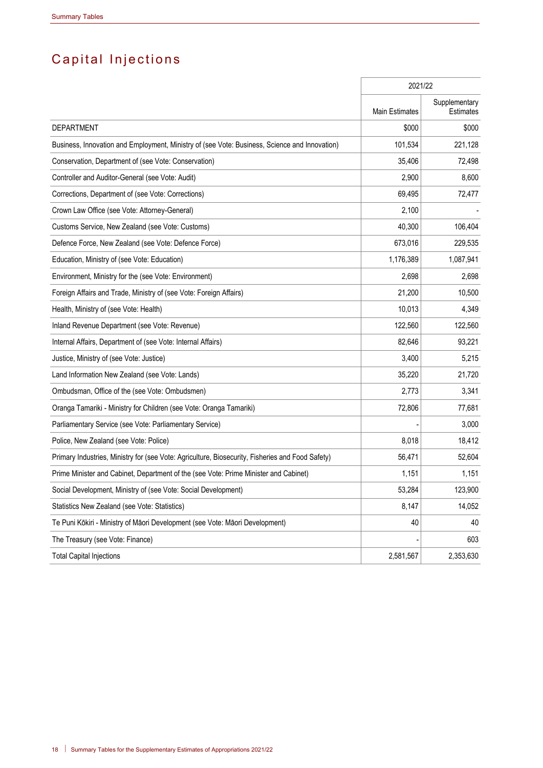# Capital Injections

|                                                                                                  | 2021/22        |                                   |
|--------------------------------------------------------------------------------------------------|----------------|-----------------------------------|
|                                                                                                  | Main Estimates | Supplementary<br><b>Estimates</b> |
| <b>DEPARTMENT</b>                                                                                | \$000          | \$000                             |
| Business, Innovation and Employment, Ministry of (see Vote: Business, Science and Innovation)    | 101,534        | 221,128                           |
| Conservation, Department of (see Vote: Conservation)                                             | 35,406         | 72,498                            |
| Controller and Auditor-General (see Vote: Audit)                                                 | 2,900          | 8,600                             |
| Corrections, Department of (see Vote: Corrections)                                               | 69,495         | 72,477                            |
| Crown Law Office (see Vote: Attorney-General)                                                    | 2,100          |                                   |
| Customs Service, New Zealand (see Vote: Customs)                                                 | 40,300         | 106,404                           |
| Defence Force, New Zealand (see Vote: Defence Force)                                             | 673,016        | 229,535                           |
| Education, Ministry of (see Vote: Education)                                                     | 1,176,389      | 1,087,941                         |
| Environment, Ministry for the (see Vote: Environment)                                            | 2,698          | 2,698                             |
| Foreign Affairs and Trade, Ministry of (see Vote: Foreign Affairs)                               | 21,200         | 10,500                            |
| Health, Ministry of (see Vote: Health)                                                           | 10,013         | 4,349                             |
| Inland Revenue Department (see Vote: Revenue)                                                    | 122,560        | 122,560                           |
| Internal Affairs, Department of (see Vote: Internal Affairs)                                     | 82,646         | 93,221                            |
| Justice, Ministry of (see Vote: Justice)                                                         | 3,400          | 5,215                             |
| Land Information New Zealand (see Vote: Lands)                                                   | 35,220         | 21,720                            |
| Ombudsman, Office of the (see Vote: Ombudsmen)                                                   | 2,773          | 3,341                             |
| Oranga Tamariki - Ministry for Children (see Vote: Oranga Tamariki)                              | 72,806         | 77,681                            |
| Parliamentary Service (see Vote: Parliamentary Service)                                          |                | 3,000                             |
| Police, New Zealand (see Vote: Police)                                                           | 8,018          | 18,412                            |
| Primary Industries, Ministry for (see Vote: Agriculture, Biosecurity, Fisheries and Food Safety) | 56,471         | 52,604                            |
| Prime Minister and Cabinet, Department of the (see Vote: Prime Minister and Cabinet)             | 1,151          | 1,151                             |
| Social Development, Ministry of (see Vote: Social Development)                                   | 53,284         | 123,900                           |
| Statistics New Zealand (see Vote: Statistics)                                                    | 8,147          | 14,052                            |
| Te Puni Kōkiri - Ministry of Māori Development (see Vote: Māori Development)                     | 40             | 40                                |
| The Treasury (see Vote: Finance)                                                                 |                | 603                               |
| <b>Total Capital Injections</b>                                                                  | 2,581,567      | 2,353,630                         |